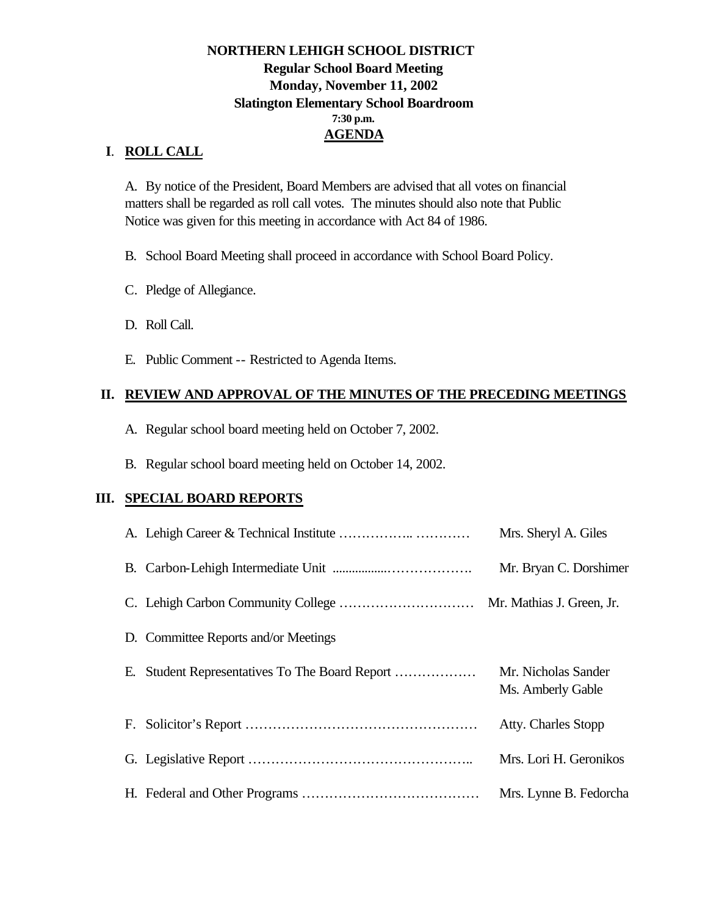### **NORTHERN LEHIGH SCHOOL DISTRICT Regular School Board Meeting Monday, November 11, 2002 Slatington Elementary School Boardroom 7:30 p.m. AGENDA**

### **I**. **ROLL CALL**

A. By notice of the President, Board Members are advised that all votes on financial matters shall be regarded as roll call votes. The minutes should also note that Public Notice was given for this meeting in accordance with Act 84 of 1986.

B. School Board Meeting shall proceed in accordance with School Board Policy.

- C. Pledge of Allegiance.
- D. Roll Call.
- E. Public Comment -- Restricted to Agenda Items.

#### **II. REVIEW AND APPROVAL OF THE MINUTES OF THE PRECEDING MEETINGS**

- A. Regular school board meeting held on October 7, 2002.
- B. Regular school board meeting held on October 14, 2002.

#### **III. SPECIAL BOARD REPORTS**

|                                      | Mrs. Sheryl A. Giles                     |
|--------------------------------------|------------------------------------------|
|                                      | Mr. Bryan C. Dorshimer                   |
|                                      |                                          |
| D. Committee Reports and/or Meetings |                                          |
|                                      | Mr. Nicholas Sander<br>Ms. Amberly Gable |
|                                      | Atty. Charles Stopp                      |
|                                      | Mrs. Lori H. Geronikos                   |
|                                      | Mrs. Lynne B. Fedorcha                   |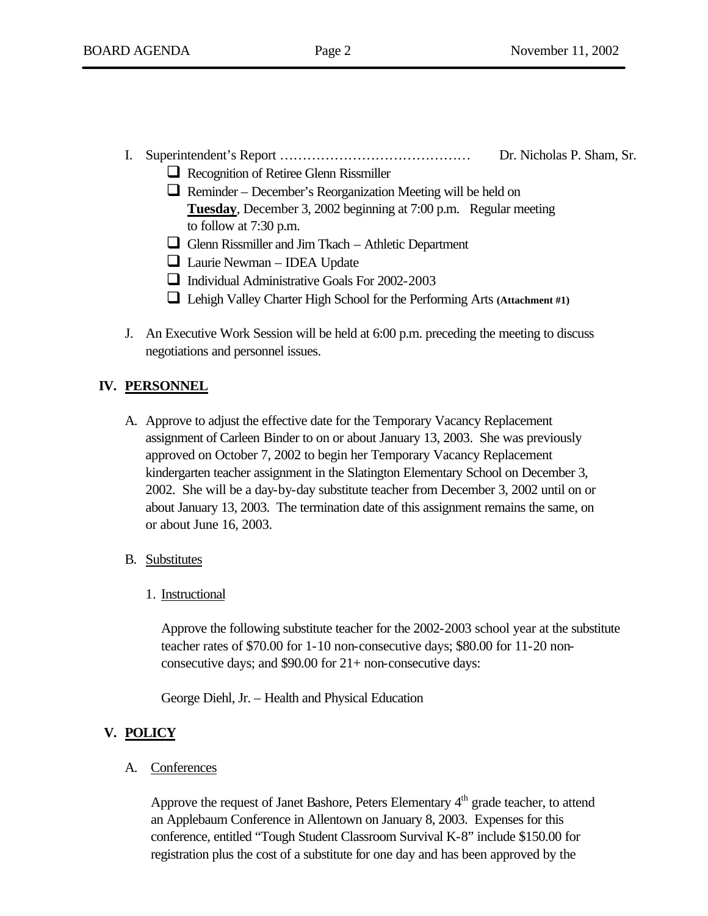### I. Superintendent's Report …………………………………… Dr. Nicholas P. Sham, Sr.

- $\Box$  Recognition of Retiree Glenn Rissmiller
- $\Box$  Reminder December's Reorganization Meeting will be held on **Tuesday**, December 3, 2002 beginning at 7:00 p.m. Regular meeting to follow at 7:30 p.m.
- Glenn Rissmiller and Jim Tkach Athletic Department
- $\Box$  Laurie Newman IDEA Update
- $\Box$  Individual Administrative Goals For 2002-2003
- **Q** Lehigh Valley Charter High School for the Performing Arts **(Attachment #1)**
- J. An Executive Work Session will be held at 6:00 p.m. preceding the meeting to discuss negotiations and personnel issues.

### **IV. PERSONNEL**

- A. Approve to adjust the effective date for the Temporary Vacancy Replacement assignment of Carleen Binder to on or about January 13, 2003. She was previously approved on October 7, 2002 to begin her Temporary Vacancy Replacement kindergarten teacher assignment in the Slatington Elementary School on December 3, 2002. She will be a day-by-day substitute teacher from December 3, 2002 until on or about January 13, 2003. The termination date of this assignment remains the same, on or about June 16, 2003.
- B. Substitutes
	- 1. Instructional

Approve the following substitute teacher for the 2002-2003 school year at the substitute teacher rates of \$70.00 for 1-10 non-consecutive days; \$80.00 for 11-20 nonconsecutive days; and \$90.00 for 21+ non-consecutive days:

George Diehl, Jr. – Health and Physical Education

### **V. POLICY**

A. Conferences

Approve the request of Janet Bashore, Peters Elementary  $4<sup>th</sup>$  grade teacher, to attend an Applebaum Conference in Allentown on January 8, 2003. Expenses for this conference, entitled "Tough Student Classroom Survival K-8" include \$150.00 for registration plus the cost of a substitute for one day and has been approved by the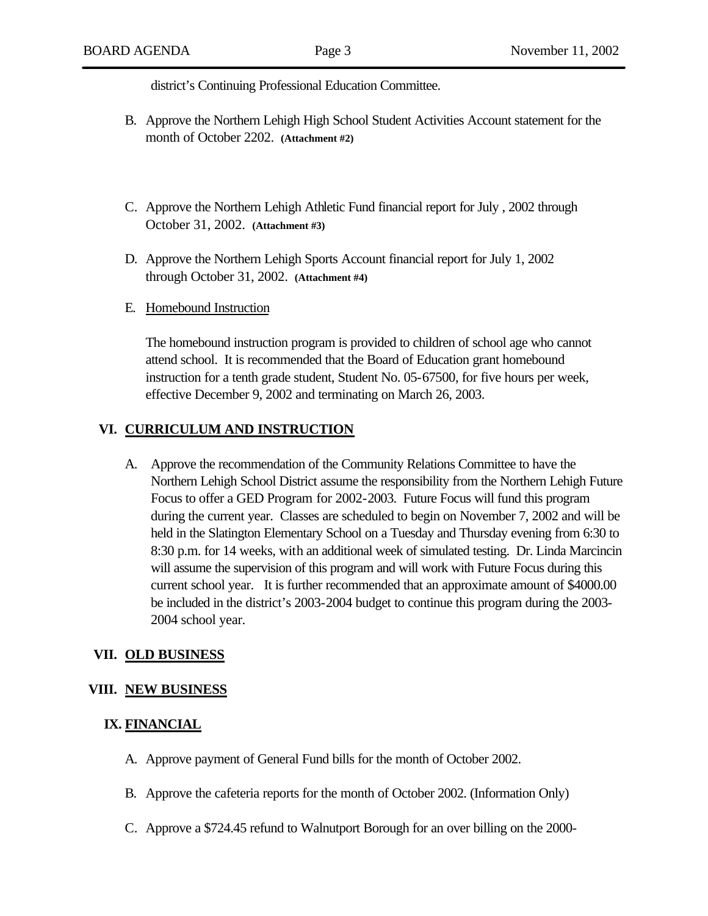district's Continuing Professional Education Committee.

- B. Approve the Northern Lehigh High School Student Activities Account statement for the month of October 2202. **(Attachment #2)**
- C. Approve the Northern Lehigh Athletic Fund financial report for July , 2002 through October 31, 2002. **(Attachment #3)**
- D. Approve the Northern Lehigh Sports Account financial report for July 1, 2002 through October 31, 2002. **(Attachment #4)**
- E. Homebound Instruction

The homebound instruction program is provided to children of school age who cannot attend school. It is recommended that the Board of Education grant homebound instruction for a tenth grade student, Student No. 05-67500, for five hours per week, effective December 9, 2002 and terminating on March 26, 2003.

#### **VI. CURRICULUM AND INSTRUCTION**

A. Approve the recommendation of the Community Relations Committee to have the Northern Lehigh School District assume the responsibility from the Northern Lehigh Future Focus to offer a GED Program for 2002-2003. Future Focus will fund this program during the current year. Classes are scheduled to begin on November 7, 2002 and will be held in the Slatington Elementary School on a Tuesday and Thursday evening from 6:30 to 8:30 p.m. for 14 weeks, with an additional week of simulated testing. Dr. Linda Marcincin will assume the supervision of this program and will work with Future Focus during this current school year. It is further recommended that an approximate amount of \$4000.00 be included in the district's 2003-2004 budget to continue this program during the 2003- 2004 school year.

#### **VII. OLD BUSINESS**

#### **VIII. NEW BUSINESS**

#### **IX. FINANCIAL**

- A. Approve payment of General Fund bills for the month of October 2002.
- B. Approve the cafeteria reports for the month of October 2002. (Information Only)
- C. Approve a \$724.45 refund to Walnutport Borough for an over billing on the 2000-